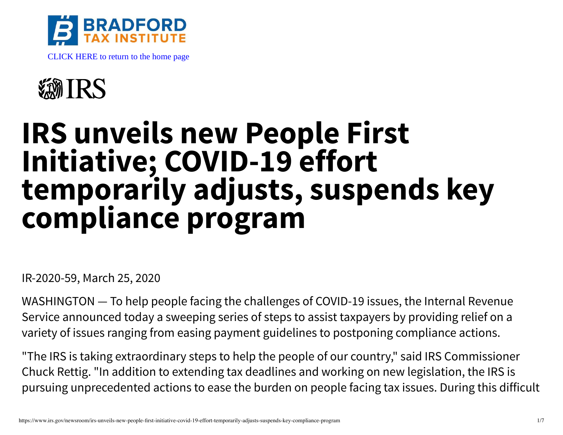



## **IRS unveils new People First Initiative; COVID-19 effort temporarily adjusts, suspends key compliance program**

IR-2020-59, March 25, 2020

WASHINGTON — To help people facing the challenges of COVID-19 issues, the Internal Revenue Service announced today a sweeping series of steps to assist taxpayers by providing relief on a variety of issues ranging from easing payment guidelines to postponing compliance actions.

"The IRS is taking extraordinary steps to help the people of our country," said IRS Commissioner Chuck Rettig. "In addition to extending tax deadlines and working on new legislation, the IRS is pursuing unprecedented actions to ease the burden on people facing tax issues. During this difficult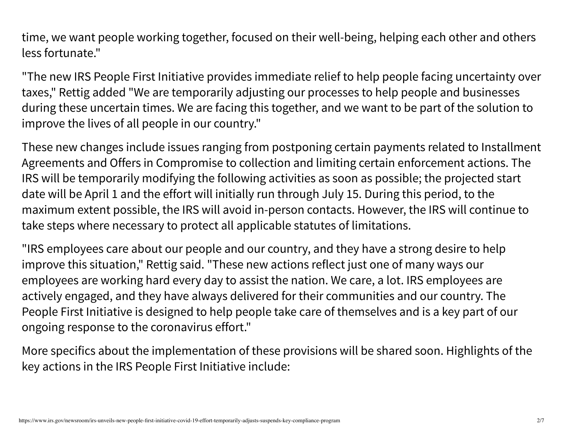time, we want people working together, focused on their well-being, helping each other and others less fortunate."

"The new IRS People First Initiative provides immediate relief to help people facing uncertainty over taxes," Rettig added "We are temporarily adjusting our processes to help people and businesses during these uncertain times. We are facing this together, and we want to be part of the solution to improve the lives of all people in our country."

These new changes include issues ranging from postponing certain payments related to Installment Agreements and Offers in Compromise to collection and limiting certain enforcement actions. The IRS will be temporarily modifying the following activities as soon as possible; the projected start date will be April 1 and the effort will initially run through July 15. During this period, to the maximum extent possible, the IRS will avoid in-person contacts. However, the IRS will continue to take steps where necessary to protect all applicable statutes of limitations.

"IRS employees care about our people and our country, and they have a strong desire to help improve this situation," Rettig said. "These new actions reflect just one of many ways our employees are working hard every day to assist the nation. We care, a lot. IRS employees are actively engaged, and they have always delivered for their communities and our country. The People First Initiative is designed to help people take care of themselves and is a key part of our ongoing response to the coronavirus effort."

More specifics about the implementation of these provisions will be shared soon. Highlights of the key actions in the IRS People First Initiative include: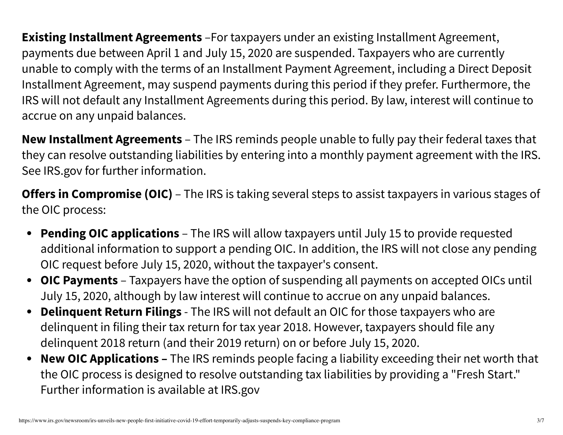**Existing Installment Agreements** –For taxpayers under an existing Installment Agreement, payments due between April 1 and July 15, 2020 are suspended. Taxpayers who are currently unable to comply with the terms of an Installment Payment Agreement, including a Direct Deposit Installment Agreement, may suspend payments during this period if they prefer. Furthermore, the IRS will not default any Installment Agreements during this period. By law, interest will continue to accrue on any unpaid balances.

**New Installment Agreements** – The IRS reminds people unable to fully pay their federal taxes that they can resolve outstanding liabilities by entering into a monthly payment agreement with the IRS. See IRS.gov for further information.

**Offers in Compromise (OIC)** – The IRS is taking several steps to assist taxpayers in various stages of the OIC process:

- **Pending OIC applications** The IRS will allow taxpayers until July 15 to provide requested additional information to support a pending OIC. In addition, the IRS will not close any pending OIC request before July 15, 2020, without the taxpayer's consent.
- **OIC Payments** Taxpayers have the option of suspending all payments on accepted OICs until  $\bullet$ July 15, 2020, although by law interest will continue to accrue on any unpaid balances.
- **Delinquent Return Filings** The IRS will not default an OIC for those taxpayers who are  $\bullet$ delinquent in filing their tax return for tax year 2018. However, taxpayers should file any delinquent 2018 return (and their 2019 return) on or before July 15, 2020.
- **New OIC Applications –** The IRS reminds people facing a liability exceeding their net worth that  $\bullet$ the OIC process is designed to resolve outstanding tax liabilities by providing a "Fresh Start." Further information is available at IRS.gov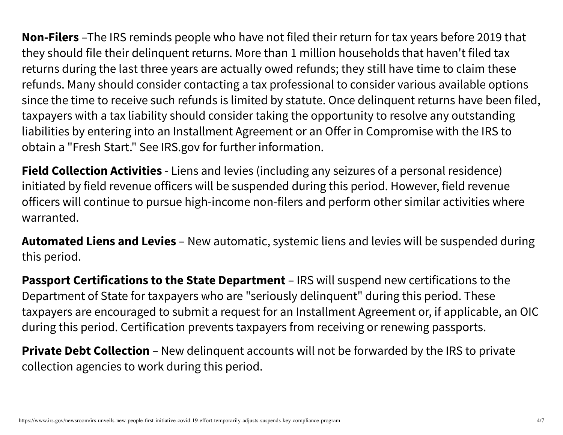**Non-Filers** –The IRS reminds people who have not filed their return for tax years before 2019 that they should file their delinquent returns. More than 1 million households that haven't filed tax returns during the last three years are actually owed refunds; they still have time to claim these refunds. Many should consider contacting a tax professional to consider various available options since the time to receive such refunds is limited by statute. Once delinquent returns have been filed, taxpayers with a tax liability should consider taking the opportunity to resolve any outstanding liabilities by entering into an Installment Agreement or an Offer in Compromise with the IRS to obtain a "Fresh Start." See IRS.gov for further information.

**Field Collection Activities** - Liens and levies (including any seizures of a personal residence) initiated by field revenue officers will be suspended during this period. However, field revenue officers will continue to pursue high-income non-filers and perform other similar activities where warranted.

**Automated Liens and Levies** – New automatic, systemic liens and levies will be suspended during this period.

**Passport Certifications to the State Department** – IRS will suspend new certifications to the Department of State for taxpayers who are "seriously delinquent" during this period. These taxpayers are encouraged to submit a request for an Installment Agreement or, if applicable, an OIC during this period. Certification prevents taxpayers from receiving or renewing passports.

**Private Debt Collection** – New delinguent accounts will not be forwarded by the IRS to private collection agencies to work during this period.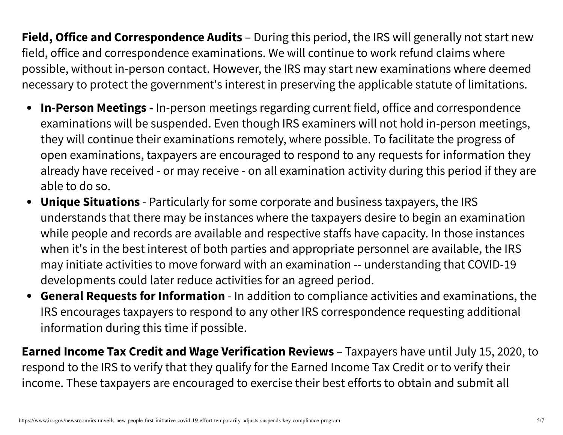**Field, Office and Correspondence Audits** – During this period, the IRS will generally not start new field, office and correspondence examinations. We will continue to work refund claims where possible, without in-person contact. However, the IRS may start new examinations where deemed necessary to protect the government's interest in preserving the applicable statute of limitations.

- **In-Person Meetings -** In-person meetings regarding current field, office and correspondence examinations will be suspended. Even though IRS examiners will not hold in-person meetings, they will continue their examinations remotely, where possible. To facilitate the progress of open examinations, taxpayers are encouraged to respond to any requests for information they already have received - or may receive - on all examination activity during this period if they are able to do so.
- **Unique Situations** Particularly for some corporate and business taxpayers, the IRS  $\bullet$ understands that there may be instances where the taxpayers desire to begin an examination while people and records are available and respective staffs have capacity. In those instances when it's in the best interest of both parties and appropriate personnel are available, the IRS may initiate activities to move forward with an examination -- understanding that COVID-19 developments could later reduce activities for an agreed period.
- **General Requests for Information** In addition to compliance activities and examinations, the  $\bullet$ IRS encourages taxpayers to respond to any other IRS correspondence requesting additional information during this time if possible.

**Earned Income Tax Credit and Wage Verification Reviews** – Taxpayers have until July 15, 2020, to respond to the IRS to verify that they qualify for the Earned Income Tax Credit or to verify their income. These taxpayers are encouraged to exercise their best efforts to obtain and submit all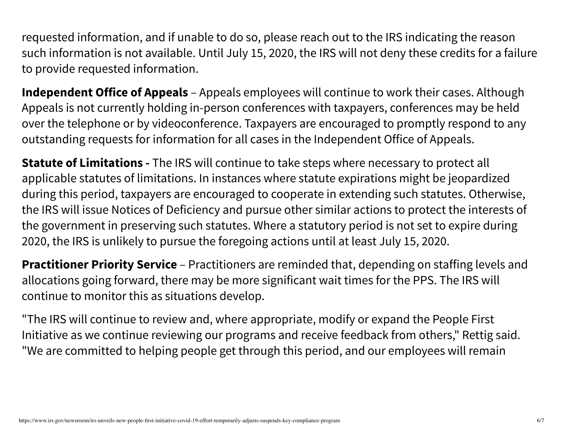requested information, and if unable to do so, please reach out to the IRS indicating the reason such information is not available. Until July 15, 2020, the IRS will not deny these credits for a failure to provide requested information.

**Independent Office of Appeals** – Appeals employees will continue to work their cases. Although Appeals is not currently holding in-person conferences with taxpayers, conferences may be held over the telephone or by videoconference. Taxpayers are encouraged to promptly respond to any outstanding requests for information for all cases in the Independent Office of Appeals.

**Statute of Limitations -** The IRS will continue to take steps where necessary to protect all applicable statutes of limitations. In instances where statute expirations might be jeopardized during this period, taxpayers are encouraged to cooperate in extending such statutes. Otherwise, the IRS will issue Notices of Deficiency and pursue other similar actions to protect the interests of the government in preserving such statutes. Where a statutory period is not set to expire during 2020, the IRS is unlikely to pursue the foregoing actions until at least July 15, 2020.

**Practitioner Priority Service** – Practitioners are reminded that, depending on staffing levels and allocations going forward, there may be more significant wait times for the PPS. The IRS will continue to monitor this as situations develop.

"The IRS will continue to review and, where appropriate, modify or expand the People First Initiative as we continue reviewing our programs and receive feedback from others," Rettig said. "We are committed to helping people get through this period, and our employees will remain